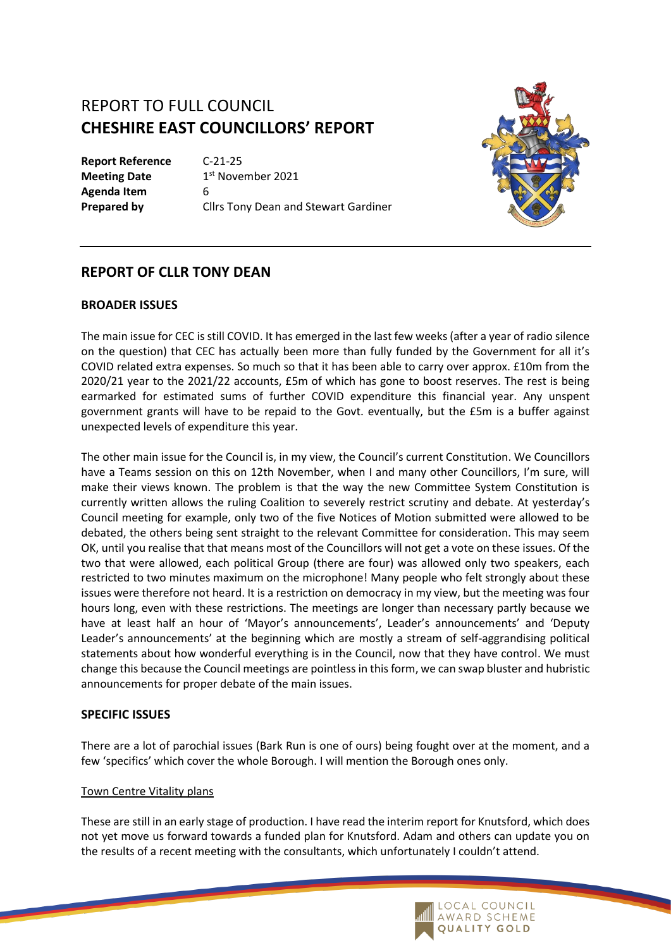# REPORT TO FULL COUNCIL **CHESHIRE EAST COUNCILLORS' REPORT**

**Report Reference** C-21-25 **Meeting Date Agenda Item** 6

1st November 2021 **Prepared by Cllrs Tony Dean and Stewart Gardiner** 



# **REPORT OF CLLR TONY DEAN**

## **BROADER ISSUES**

The main issue for CEC is still COVID. It has emerged in the last few weeks (after a year of radio silence on the question) that CEC has actually been more than fully funded by the Government for all it's COVID related extra expenses. So much so that it has been able to carry over approx. £10m from the 2020/21 year to the 2021/22 accounts, £5m of which has gone to boost reserves. The rest is being earmarked for estimated sums of further COVID expenditure this financial year. Any unspent government grants will have to be repaid to the Govt. eventually, but the £5m is a buffer against unexpected levels of expenditure this year.

The other main issue for the Council is, in my view, the Council's current Constitution. We Councillors have a Teams session on this on 12th November, when I and many other Councillors, I'm sure, will make their views known. The problem is that the way the new Committee System Constitution is currently written allows the ruling Coalition to severely restrict scrutiny and debate. At yesterday's Council meeting for example, only two of the five Notices of Motion submitted were allowed to be debated, the others being sent straight to the relevant Committee for consideration. This may seem OK, until you realise that that means most of the Councillors will not get a vote on these issues. Of the two that were allowed, each political Group (there are four) was allowed only two speakers, each restricted to two minutes maximum on the microphone! Many people who felt strongly about these issues were therefore not heard. It is a restriction on democracy in my view, but the meeting was four hours long, even with these restrictions. The meetings are longer than necessary partly because we have at least half an hour of 'Mayor's announcements', Leader's announcements' and 'Deputy Leader's announcements' at the beginning which are mostly a stream of self-aggrandising political statements about how wonderful everything is in the Council, now that they have control. We must change this because the Council meetings are pointless in this form, we can swap bluster and hubristic announcements for proper debate of the main issues.

### **SPECIFIC ISSUES**

There are a lot of parochial issues (Bark Run is one of ours) being fought over at the moment, and a few 'specifics' which cover the whole Borough. I will mention the Borough ones only.

### Town Centre Vitality plans

These are still in an early stage of production. I have read the interim report for Knutsford, which does not yet move us forward towards a funded plan for Knutsford. Adam and others can update you on the results of a recent meeting with the consultants, which unfortunately I couldn't attend.

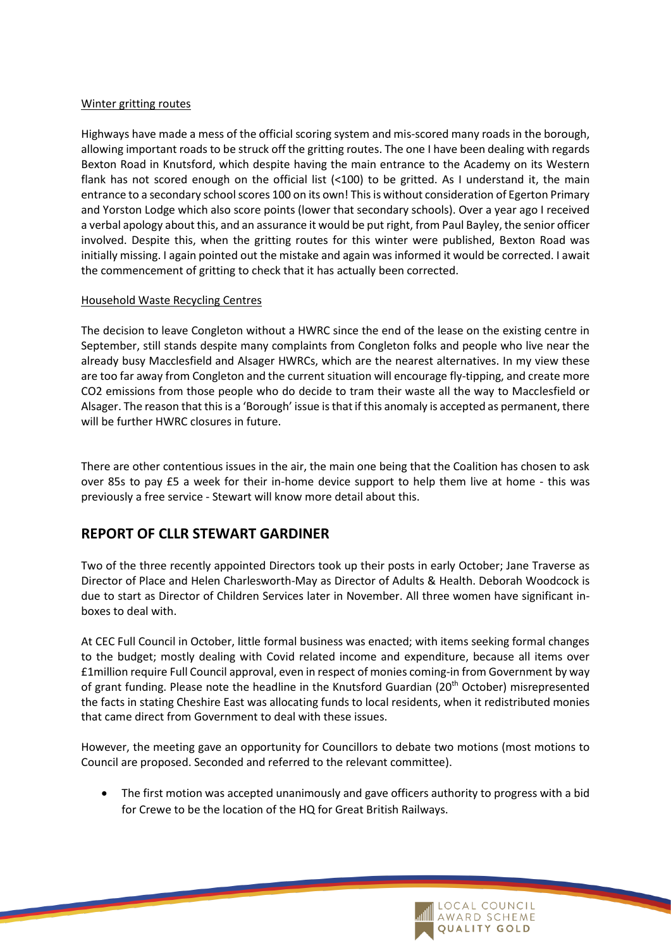#### Winter gritting routes

Highways have made a mess of the official scoring system and mis-scored many roads in the borough, allowing important roads to be struck off the gritting routes. The one I have been dealing with regards Bexton Road in Knutsford, which despite having the main entrance to the Academy on its Western flank has not scored enough on the official list (<100) to be gritted. As I understand it, the main entrance to a secondary school scores 100 on its own! This is without consideration of Egerton Primary and Yorston Lodge which also score points (lower that secondary schools). Over a year ago I received a verbal apology about this, and an assurance it would be put right, from Paul Bayley, the senior officer involved. Despite this, when the gritting routes for this winter were published, Bexton Road was initially missing. I again pointed out the mistake and again was informed it would be corrected. I await the commencement of gritting to check that it has actually been corrected.

#### Household Waste Recycling Centres

The decision to leave Congleton without a HWRC since the end of the lease on the existing centre in September, still stands despite many complaints from Congleton folks and people who live near the already busy Macclesfield and Alsager HWRCs, which are the nearest alternatives. In my view these are too far away from Congleton and the current situation will encourage fly-tipping, and create more CO2 emissions from those people who do decide to tram their waste all the way to Macclesfield or Alsager. The reason that this is a 'Borough' issue is that if this anomaly is accepted as permanent, there will be further HWRC closures in future.

There are other contentious issues in the air, the main one being that the Coalition has chosen to ask over 85s to pay £5 a week for their in-home device support to help them live at home - this was previously a free service - Stewart will know more detail about this.

# **REPORT OF CLLR STEWART GARDINER**

Two of the three recently appointed Directors took up their posts in early October; Jane Traverse as Director of Place and Helen Charlesworth-May as Director of Adults & Health. Deborah Woodcock is due to start as Director of Children Services later in November. All three women have significant inboxes to deal with.

At CEC Full Council in October, little formal business was enacted; with items seeking formal changes to the budget; mostly dealing with Covid related income and expenditure, because all items over £1million require Full Council approval, even in respect of monies coming-in from Government by way of grant funding. Please note the headline in the Knutsford Guardian (20<sup>th</sup> October) misrepresented the facts in stating Cheshire East was allocating funds to local residents, when it redistributed monies that came direct from Government to deal with these issues.

However, the meeting gave an opportunity for Councillors to debate two motions (most motions to Council are proposed. Seconded and referred to the relevant committee).

The first motion was accepted unanimously and gave officers authority to progress with a bid for Crewe to be the location of the HQ for Great British Railways.